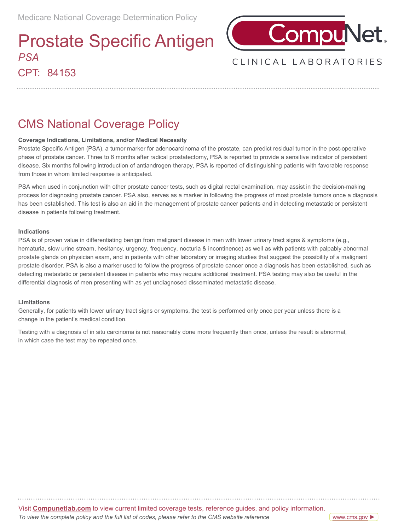## CPT: 84153 Prostate Specific Antigen *PSA*



### CLINICAL LABORATORIES

## CMS National Coverage Policy

#### **Coverage Indications, Limitations, and/or Medical Necessity**

Prostate Specific Antigen (PSA), a tumor marker for adenocarcinoma of the prostate, can predict residual tumor in the post-operative phase of prostate cancer. Three to 6 months after radical prostatectomy, PSA is reported to provide a sensitive indicator of persistent disease. Six months following introduction of antiandrogen therapy, PSA is reported of distinguishing patients with favorable response from those in whom limited response is anticipated.

PSA when used in conjunction with other prostate cancer tests, such as digital rectal examination, may assist in the decision-making process for diagnosing prostate cancer. PSA also, serves as a marker in following the progress of most prostate tumors once a diagnosis has been established. This test is also an aid in the management of prostate cancer patients and in detecting metastatic or persistent disease in patients following treatment.

#### **Indications**

PSA is of proven value in differentiating benign from malignant disease in men with lower urinary tract signs & symptoms (e.g., hematuria, slow urine stream, hesitancy, urgency, frequency, nocturia & incontinence) as well as with patients with palpably abnormal prostate glands on physician exam, and in patients with other laboratory or imaging studies that suggest the possibility of a malignant prostate disorder. PSA is also a marker used to follow the progress of prostate cancer once a diagnosis has been established, such as detecting metastatic or persistent disease in patients who may require additional treatment. PSA testing may also be useful in the differential diagnosis of men presenting with as yet undiagnosed disseminated metastatic disease.

#### **Limitations**

Generally, for patients with lower urinary tract signs or symptoms, the test is performed only once per year unless there is a change in the patient's medical condition.

Testing with a diagnosis of in situ carcinoma is not reasonably done more frequently than once, unless the result is abnormal, in which case the test may be repeated once.

Visit **[Compunetlab.com](http://www.questdiagnostics.com/home/physicians/medicare-coverage-guide.html)** to view current limited coverage tests, reference guides, and policy information. *To view the complete policy and the full list of codes, please refer to the CMS website reference*

[www.cms.gov](https://www.questdiagnostics.com/dms/Documents/mlcp/National-Guides/2019300-ICD-10-NCD-Manual-20190509-508/2020300_ICD_10_NCD_Manual_20200407_508.pdf) ►